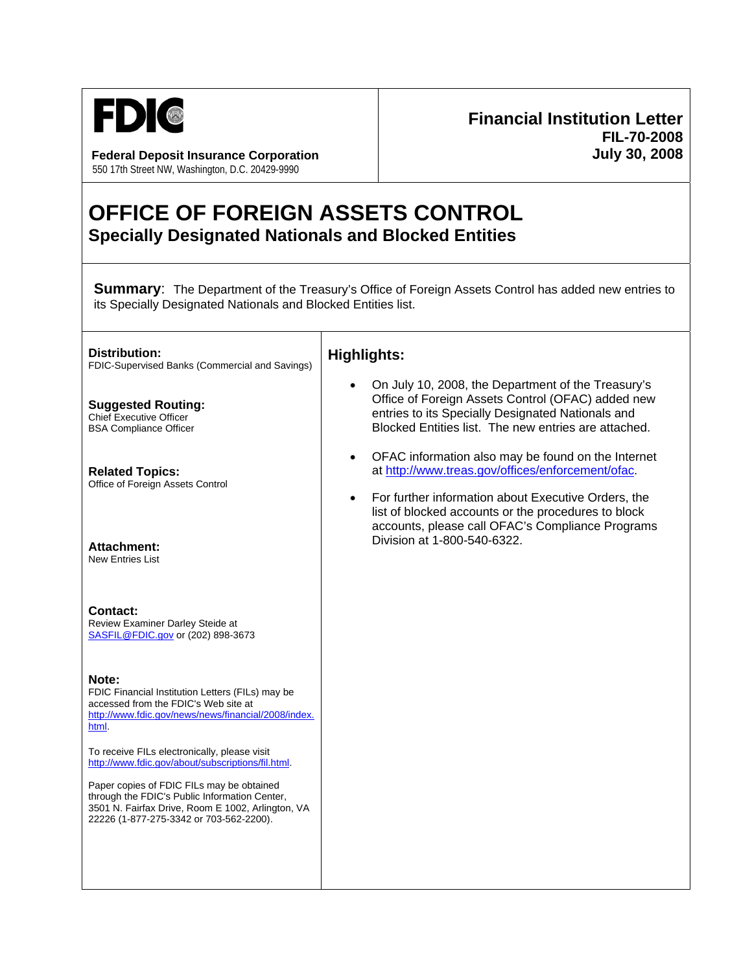

**Federal Deposit Insurance Corporation July 30, 2008** 550 17th Street NW, Washington, D.C. 20429-9990

## **Financial Institution Letter FIL-70-2008**

## **OFFICE OF FOREIGN ASSETS CONTROL Specially Designated Nationals and Blocked Entities**

┓

**Summary:** The Department of the Treasury's Office of Foreign Assets Control has added new entries to its Specially Designated Nationals and Blocked Entities list.

| Distribution:<br>FDIC-Supervised Banks (Commercial and Savings)                                                                                                                                                                                                                                                                                                      | <b>Highlights:</b>                                                                                                                                                                                                                                                                                                    |
|----------------------------------------------------------------------------------------------------------------------------------------------------------------------------------------------------------------------------------------------------------------------------------------------------------------------------------------------------------------------|-----------------------------------------------------------------------------------------------------------------------------------------------------------------------------------------------------------------------------------------------------------------------------------------------------------------------|
| <b>Suggested Routing:</b><br><b>Chief Executive Officer</b><br><b>BSA Compliance Officer</b>                                                                                                                                                                                                                                                                         | On July 10, 2008, the Department of the Treasury's<br>Office of Foreign Assets Control (OFAC) added new<br>entries to its Specially Designated Nationals and<br>Blocked Entities list. The new entries are attached.                                                                                                  |
| <b>Related Topics:</b><br>Office of Foreign Assets Control<br>Attachment:                                                                                                                                                                                                                                                                                            | OFAC information also may be found on the Internet<br>$\bullet$<br>at http://www.treas.gov/offices/enforcement/ofac.<br>For further information about Executive Orders, the<br>list of blocked accounts or the procedures to block<br>accounts, please call OFAC's Compliance Programs<br>Division at 1-800-540-6322. |
| <b>New Entries List</b><br><b>Contact:</b><br>Review Examiner Darley Steide at<br>SASFIL@FDIC.gov or (202) 898-3673                                                                                                                                                                                                                                                  |                                                                                                                                                                                                                                                                                                                       |
| Note:<br>FDIC Financial Institution Letters (FILs) may be<br>accessed from the FDIC's Web site at<br>http://www.fdic.gov/news/news/financial/2008/index.<br>html.<br>To receive FILs electronically, please visit<br>http://www.fdic.gov/about/subscriptions/fil.html.<br>Paper copies of FDIC FILs may be obtained<br>through the FDIC's Public Information Center, |                                                                                                                                                                                                                                                                                                                       |
| 3501 N. Fairfax Drive, Room E 1002, Arlington, VA<br>22226 (1-877-275-3342 or 703-562-2200).                                                                                                                                                                                                                                                                         |                                                                                                                                                                                                                                                                                                                       |